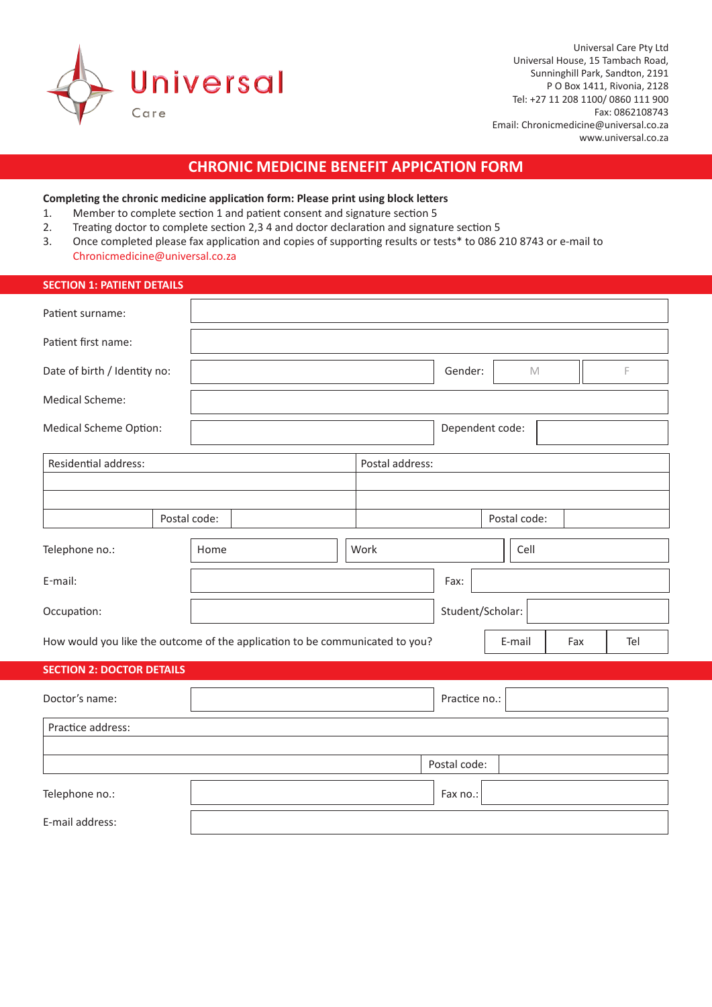

# **CHRONIC MEDICINE BENEFIT APPICATION FORM**

## **Completing the chronic medicine application form: Please print using block letters**

- 1. Member to complete section 1 and patient consent and signature section 5
- 2. Treating doctor to complete section 2,3 4 and doctor declaration and signature section 5
- 3. Once completed please fax application and copies of supporting results or tests\* to 086 210 8743 or e-mail to Chronicmedicine@universal.co.za

| <b>SECTION 1: PATIENT DETAILS</b> |              |                                                                              |                        |     |
|-----------------------------------|--------------|------------------------------------------------------------------------------|------------------------|-----|
| Patient surname:                  |              |                                                                              |                        |     |
| Patient first name:               |              |                                                                              |                        |     |
| Date of birth / Identity no:      |              |                                                                              | Gender:<br>$\mathbb M$ | F   |
| Medical Scheme:                   |              |                                                                              |                        |     |
| Medical Scheme Option:            |              |                                                                              | Dependent code:        |     |
| Residential address:              |              | Postal address:                                                              |                        |     |
|                                   |              |                                                                              |                        |     |
|                                   | Postal code: |                                                                              | Postal code:           |     |
| Telephone no.:                    | Home         | Work                                                                         | Cell                   |     |
| E-mail:                           |              |                                                                              | Fax:                   |     |
| Occupation:                       |              |                                                                              | Student/Scholar:       |     |
|                                   |              | How would you like the outcome of the application to be communicated to you? | E-mail<br>Fax          | Tel |
| <b>SECTION 2: DOCTOR DETAILS</b>  |              |                                                                              |                        |     |
| Doctor's name:                    |              |                                                                              | Practice no.:          |     |
| Practice address:                 |              |                                                                              |                        |     |
|                                   |              |                                                                              |                        |     |
|                                   |              |                                                                              | Postal code:           |     |
| Telephone no.:                    |              |                                                                              | Fax no.:               |     |
| E-mail address:                   |              |                                                                              |                        |     |